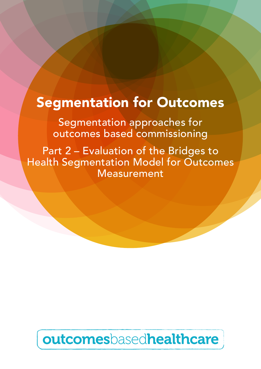# Segmentation for Outcomes

Segmentation approaches for outcomes based commissioning

Part 2 – Evaluation of the Bridges to Health Segmentation Model for Outcomes Measurement

# outcomesbasedhealthcare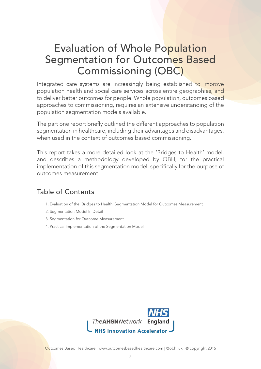## Evaluation of Whole Population Segmentation for Outcomes Based Commissioning (OBC)

Integrated care systems are increasingly being established to improve population health and social care services across entire geographies, and to deliver better outcomes for people. Whole population, outcomes based approaches to commissioning, requires an extensive understanding of the population segmentation models available.

The part one report briefly outlined the different approaches to population segmentation in healthcare, including their advantages and disadvantages, when used in the context of outcomes based commissioning.

This report takes a more detailed look at the 'Bridges to Health' model, and describes a methodology developed by OBH, for the practical implementation of this segmentation model, specifically for the purpose of outcomes measurement.

## Table of Contents

- 1. Evaluation of the 'Bridges to Health' Segmentation Model for Outcomes Measurement
- 2. Segmentation Model In Detail
- 3. Segmentation for Outcome Measurement
- 4. Practical Implementation of the Segmentation Model

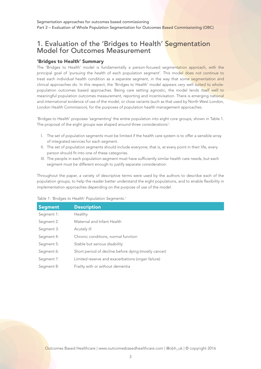### 1. Evaluation of the 'Bridges to Health' Segmentation Model for Outcomes Measurement

#### 'Bridges to Health' Summary

The 'Bridges to Health' model is fundamentally a person-focused segmentation approach, with the principal goal of 'pursuing the health of each population segment'. This model does not continue to treat each individual health condition as a separate segment, in the way that some segmentation and clinical approaches do. In this respect, the 'Bridges to Health' model appears very well suited to wholepopulation outcomes based approaches. Being care setting agnostic, the model lends itself well to meaningful population outcomes measurement, reporting and incentivisation. There is emerging national and international evidence of use of the model, or close variants (such as that used by North West London, London Health Commission), for the purposes of population health management approaches.

'Bridges to Health' proposes 'segmenting' the entire population into eight core groups, shown in Table 1. The proposal of the eight groups was shaped around three considerations<sup>1</sup>:

- I. The set of population segments must be limited if the health care system is to offer a sensible array of integrated services for each segment.
- II. The set of population segments should include everyone; that is, at every point in their life, every person should fit into one of these categories.
- III. The people in each population segment must have sufficiently similar health care needs, but each segment must be different enough to justify separate consideration.

Throughout the paper, a variety of descriptive terms were used by the authors to describe each of the population groups, to help the reader better understand the eight populations, and to enable flexibility in implementation approaches depending on the purpose of use of the model.

|  |  |  | Table 1: 'Bridges to Health' Population Segments. <sup>1</sup> |  |
|--|--|--|----------------------------------------------------------------|--|
|  |  |  |                                                                |  |

| <b>Segment</b> | <b>Description</b>                                   |
|----------------|------------------------------------------------------|
| Segment 1:     | Healthy                                              |
| Segment 2:     | Maternal and Infant Health                           |
| Segment 3:     | Acutely ill                                          |
| Segment 4:     | Chronic conditions, normal function                  |
| Segment 5:     | Stable but serious disability                        |
| Segment 6:     | Short period of decline before dying (mostly cancer) |
| Segment 7:     | Limited reserve and exacerbations (organ failure)    |
| Segment 8:     | Frailty with or without dementia                     |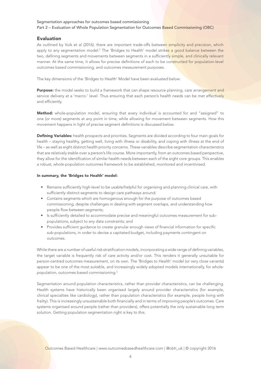#### Evaluation

As outlined by Vuik et al (2016), there are important trade-offs between simplicity and precision, which apply to any segmentation model.<sup>2</sup> The 'Bridges to Health' model strik<mark>es a good balance between the</mark> two, defining segments and movements between segments in a sufficiently simple, and clinically relevant manner. At the same time, it allows for precise definitions of each to be constructed for population-level outcomes based commissioning, and outcomes measurement purposes.

The key dimensions of the 'Bridges to Health' Model have been evaluated below:

Purpose: the model seeks to build a framework that can shape resource planning, care arrangement and service delivery at a 'macro-' level. Thus ensuring that each person's health needs can be met effectively and efficiently.

Method: whole-population model, ensuring that every individual is accounted for and "assigned" to one (or more) segments at any point in time, while allowing for movement between segments. How this movement happens in light of precise segment definitions is discussed below.

Defining Variables: health prospects and priorities. Segments are divided according to four main goals for health – staying healthy, getting well, living with illness or disability, and coping with illness at the end of life – as well as eight distinct health priority concerns. These variables describe segmentation characteristics that are relatively stable over a person's life course. More importantly, from an outcomes based perspective, they allow for the identification of similar health needs between each of the eight core groups. This enables a robust, whole-population outcomes framework to be established, monitored and incentivised.

#### In summary, the 'Bridges to Health' model:

- Remains sufficiently high-level to be usable/helpful for organising and planning clinical care, with sufficiently distinct segments to design care pathways around;
- Contains segments which are homogenous enough for the purpose of outcomes based commissioning, despite challenges in dealing with segment overlaps, and understanding how people flow between segments;
- Is sufficiently detailed to accommodate precise and meaningful outcomes measurement for subpopulations, subject to any data constraints; and
- Provides sufficient guidance to create granular enough views of financial information for specific sub-populations, in order to devise a capitated budget, including payments contingent on outcomes.

While there are a number of useful risk stratification models, incorporating a wide range of defining variables, the target variable is frequently risk of care activity and/or cost. This renders it generally unsuitable for person-centred outcomes measurement, on its own. The 'Bridges to Health' model (or very close variants) appear to be one of the most suitable, and increasingly widely adopted models internationally, for wholepopulation, outcomes based commissioning.3

Segmentation around population characteristics, rather than provider characteristics, can be challenging. Health systems have historically been organised largely around provider characteristics (for example, clinical specialties like cardiology), rather than population characteristics (for example, people living with frailty). This is increasingly unsustainable both financially and in terms of improving people's outcomes. Care systems organised around people (rather than providers), offers potentially the only sustainable long term solution. Getting population segmentation right is key to this.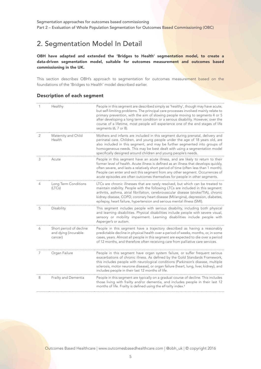## 2. Segmentation Model In Detail

OBH have adapted and extended the 'Bridges to Health' segmentation model, to create a data-driven segmentation model, suitable for outcomes measurement and outcomes based commissioning in the UK.

This section describes OBH's approach to segmentation for outcomes measurement based on the foundations of the 'Bridges to Health' model described earlier.

#### Description of each segment

|   | Healthy                                                    | People in this segment are described simply as 'healthy', though may have acute,<br>but self-limiting problems. The principal care processes involved mainly relate to<br>primary prevention, with the aim of slowing people moving to segments 4 or 5<br>after developing a long term condition or a serious disability. However, over the<br>course of a lifetime, most people will experience one of the end stages of life<br>segments (6, 7 or 8). |
|---|------------------------------------------------------------|---------------------------------------------------------------------------------------------------------------------------------------------------------------------------------------------------------------------------------------------------------------------------------------------------------------------------------------------------------------------------------------------------------------------------------------------------------|
| 2 | Maternity and Child<br>Health                              | Mothers and infants are included in this segment during prenatal, delivery and<br>perinatal care. Children, and young people under the age of 18 years old, are<br>also included in this segment, and may be further segmented into groups of<br>homogeneous needs. This may be best dealt with using a segmentation model<br>specifically designed around children and young people's needs.                                                           |
| 3 | Acute                                                      | People in this segment have an acute illness, and are likely to return to their<br>former level of health. Acute illness is defined as an illness that develops quickly,<br>often severe, and lasts a relatively short period of time (often less than 1 month).<br>People can enter and exit this segment from any other segment. Occurrences of<br>acute episodes are often outcomes themselves for people in other segments.                         |
|   | Long Term Conditions<br>(LTCs)                             | LTCs are chronic illnesses that are rarely resolved, but which can be treated to<br>maintain stability. People with the following LTCs are included in this segment:<br>arthritis, asthma, atrial fibrillation, cerebrovascular disease (stroke/TIA), chronic<br>kidney disease, COPD, coronary heart disease (MI/angina), depression, diabetes,<br>epilepsy, heart failure, hypertension and serious mental illness (SMI).                             |
| 5 | Disability                                                 | This segment includes people with serious disability, including both physical<br>and learning disabilities. Physical disabilities include people with severe visual,<br>sensory or mobility impairment. Learning disabilities include people with<br>Asperger's or autism.                                                                                                                                                                              |
| 6 | Short period of decline<br>and dying (incurable<br>cancer) | People in this segment have a trajectory described as having a reasonably<br>predictable decline in physical health over a period of weeks, months, or, in some<br>cases, years. Almost all people in this segment are expected to die over a period<br>of 12 months, and therefore often receiving care from palliative care services.                                                                                                                 |
|   | Organ Failure                                              | People in this segment have organ system failure, or suffer frequent serious<br>exacerbations of chronic illness. As defined by the Gold Standards Framework,<br>this includes people with neurological conditions (Parkinson's disease, multiple<br>sclerosis, motor neurone disease), or organ failure (heart, lung, liver, kidney), and<br>includes people in their last 12 months of life.                                                          |
| 8 | Frailty and Dementia                                       | People in this segment are typically on a gradual course of decline. This includes<br>those living with frailty and/or dementia, and includes people in their last 12<br>months of life. Frailty is defined using the eFrailty index. <sup>4</sup>                                                                                                                                                                                                      |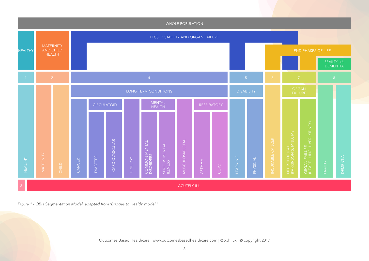

*Figure 1 - OBH Segmentation Model, adapted from 'Bridges to Health' model.1*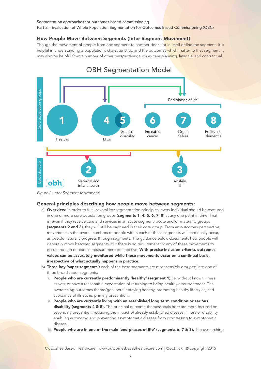Part 2 – Evaluation of Whole Population Segmentation for Outcomes Based Commissioning (OBC)

#### How People Move Between Segments (Inter-Segment Movement)

Though the movement of people from one segment to another does not in itself define the segment, it is helpful in understanding a population's characteristics, and the outcomes which matter to that segment. It may also be helpful from a number of other perspectives; such as care planning, financial and contractual.



*Figure 2: Inter Segment-Movement1*

#### General principles describing how people move between segments:

- a) Overview: in order to fulfil several key segmentation principles, every individual should be captured in one or more core population groups (segments 1, 4, 5, 6, 7, 8) at any one point in time. That is, even if they receive care and services in an acute segment- acute and/or maternity groups (segments 2 and 3), they will still be captured in their core group. From an outcomes perspective, movements in the overall numbers of people within each of these segments will continually occur, as people naturally progress through segments. The guidance below documents how people will generally move between segments, but there is no requirement for any of these movements to occur, from an outcomes measurement perspective. With precise inclusion criteria, outcomes values can be accurately monitored while these movements occur on a continual basis, irrespective of what actually happens in practice.
- b) **Three key 'super-segments':** each of the base segments are most sensibly grouped into one of three broad super-segments:
	- i. People who are currently predominantly 'healthy' (segment 1) (ie. without known illness as yet), or have a reasonable expectation of returning to being healthy after treatment. The overarching outcomes theme/goal here is staying healthy, promoting healthy lifestyles, and avoidance of illness ie. primary prevention.
	- ii. People who are currently living with an established long term condition or serious disability (segments 4 & 5). The principal outcome themes/goals here are more focused on secondary prevention; reducing the impact of already established disease, illness or disability, enabling autonomy, and preventing asymptomatic disease from progressing to symptomatic disease.
	- iii. People who are in one of the main 'end phases of life' (segments 6,  $7$  & 8). The overarching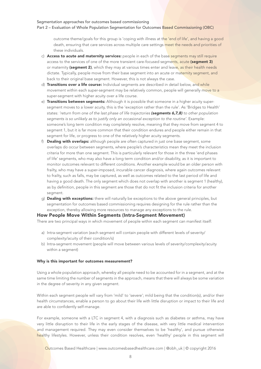Part 2 - Evaluation of Whole Population Segmentation for Outcomes Based Commissioning (OBC)

outcome theme/goals for this group is 'coping with illness at the 'end of life', and having a good death, ensuring that care services across multiple care settings meet the needs and priorities of these individuals.

- c) Access to acute and maternity services: people in each of the base segments may still require access to the services of one of the more transient care-focused segments, acute (segment 3) or maternity (segment 2), which they may at various times enter and leave, as their health needs dictate. Typically, people move from their base segment into an acute or maternity segment, and back to their original base segment. However, this is not always the case.
- d) Transitions over a life course: Individual segments are described in detail below, and while movement within each super-segment may be relatively common, people will generally move to a super-segment with higher acuity over a life course.
- e) Transitions between segments: Although it is possible that someone in a higher acuity supersegment moves to a lower acuity, this is the 'exception rather than the rule'. As 'Bridges to Health' states: *'return from one of the last phase of life trajectories (segments 6,7,8) to other population segments is so unlikely as to justify only an occasional exception to the routine'*. Example: someone's long term condition may completely resolve, meaning that they move from segment 4 to segment 1, but it is far more common that their condition endures and people either remain in that segment for life, or progress to one of the relatively higher acuity segments.
- f) Dealing with overlaps: although people are often captured in just one base segment, some overlaps do occur between segments, where people's characteristics mean they meet the inclusion criteria for more than one segment. This is particularly relevant for those in the three 'end phases of life' segments, who may also have a long term condition and/or disability, as it is important to monitor outcomes relevant to different conditions. Another example would be an older person with frailty, who may have a super-imposed, incurable cancer diagnosis, where again outcomes relevant to frailty, such as falls, may be captured, as well as outcomes related to the last period of life and having a good death. The only segment which does not overlap with another is segment 1 (healthy), as by definition, people in this segment are those that do not fit the inclusion criteria for another segment.
- g) **Dealing with exceptions:** there will naturally be exceptions to the above general principles, but segmentation for outcomes based commissioning requires designing for the rule rather than the exception, thereby allowing more resources to manage any exceptions to the rule.

#### How People Move Within Segments (Intra-Segment Movement)

There are two principal ways in which movement of people within each segment can manifest itself:

- a) Intra-segment variation (each segment will contain people with different levels of severity/ complexity/acuity of their condition/s)
- b) Intra-segment movement (people will move between various levels of severity/complexity/acuity within a segment)

#### Why is this important for outcomes measurement?

Using a whole population approach, whereby all people need to be accounted for in a segment, and at the same time limiting the number of segments in the approach, means that there will always be some variation in the degree of severity in any given segment.

Within each segment people will vary from 'mild' to 'severe'; mild being that the condition(s), and/or their health circumstances, enable a person to go about their life with little disruption or impact to their life and are able to confidently self-manage.

For example, someone with a LTC in segment 4, with a diagnosis such as diabetes or asthma, may have very little disruption to their life in the early stages of the disease, with very little medical intervention and management required. They may even consider themselves to be 'healthy', and pursue otherwise healthy lifestyles. However, unless their condition resolves, even 'healthy' people in this segment will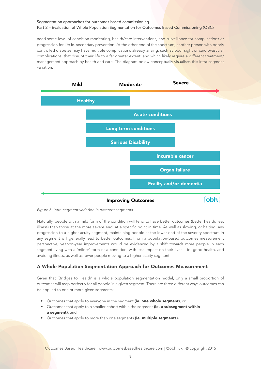need some level of condition monitoring, health/care interventions, and surveillance for complications or progression for life ie. secondary prevention. At the other end of the spectrum, another person with poorly controlled diabetes may have multiple complications already arising, such as poor sight or cardiovascular complications, that disrupt their life to a far greater extent, and which likely require a different treatment/ management approach by health and care. The diagram below conceptually visualises this intra-segment variation.



*Figure 3: Intra-segment variation in different segments*

Naturally, people with a mild form of the condition will tend to have better outcomes (better health, less illness) than those at the more severe end, at a specific point in time. As well as slowing, or halting, any progression to a higher acuity segment, maintaining people at the lower end of the severity spectrum in any segment will generally lead to better outcomes. From a population-based outcomes measurement perspective, year-on-year improvements would be evidenced by a shift towards more people in each segment living with a 'milder' form of a condition, with less impact on their lives – ie. good health, and avoiding illness, as well as fewer people moving to a higher acuity segment.

#### A Whole Population Segmentation Approach for Outcomes Measurement

Given that 'Bridges to Health' is a whole population segmentation model, only a small proportion of outcomes will map perfectly for all people in a given segment. There are three different ways outcomes can be applied to one or more given segments:

- Outcomes that apply to everyone in the segment (ie. one whole segment), or
- Outcomes that apply to a smaller cohort within the segment (ie. a subsegment within a segment), and
- Outcomes that apply to more than one segments (ie. multiple segments).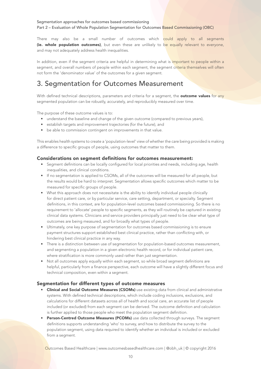There may also be a small number of outcomes which could apply to all segments (ie. whole population outcomes), but even these are unlikely to be equally relevant to everyone, and may not adequately address health inequalities.

In addition, even if the segment criteria are helpful in determining what is important to people within a segment, and overall numbers of people within each segment, the segment criteria themselves will often not form the 'denominator value' of the outcomes for a given segment.

## 3. Segmentation for Outcomes Measurement

With defined technical descriptions, parameters and criteria for a segment, the **outcome values** for any segmented population can be robustly, accurately, and reproducibly measured over time.

The purpose of these outcome values is to:

- understand the baseline and change of the given outcome (compared to previous years),
- establish targets and improvement trajectories (for the future), and
- be able to commission contingent on improvements in that value.

This enables health systems to create a 'population-level' view of whether the care being provided is making a difference to specific groups of people, using outcomes that matter to them.

#### Considerations on segment definitions for outcomes measurement:

- Segment definitions can be locally configured for local priorities and needs, including age, health inequalities, and clinical conditions.
- If no segmentation is applied to CSOMs, all of the outcomes will be measured for all people, but the results would be hard to interpret. Segmentation allows specific outcomes which matter to be measured for specific groups of people.
- What this approach does not necessitate is the ability to identify individual people clinically for direct patient care, or by particular service, care setting, department, or specialty. Segment definitions, in this context, are for population-level outcomes based commissioning. So there is no requirement to 'allocate' people to specific segments, as they will routinely be captured in existing clinical data systems. Clinicians and service providers principally just need to be clear what type of outcomes are being measured, and for broadly what types of people.
- Ultimately, one key purpose of segmentation for outcomes based commissioning is to ensure payment structures support established best clinical practice, rather than conflicting with, or hindering best clinical practice in any way.
- There is a distinction between use of segmentation for population-based outcomes measurement, and segmenting a population in a given electronic health record, or for individual patient care, where stratification is more commonly used rather than just segmentation.
- Not all outcomes apply equally within each segment, so while broad segment definitions are helpful, particularly from a finance perspective, each outcome will have a slightly different focus and technical composition, even within a segment.

#### Segmentation for different types of outcome measures

- **Clinical and Social Outcome Measures (CSOMs)** use existing data from clinical and administrative systems. With defined technical descriptions, which include coding inclusions, exclusions, and calculations for different datasets across all of health and social care, an accurate list of people included (or excluded) from each segment can be derived. The outcome definition and calculation is further applied to those people who meet the population segment definition.
- Person-Centred Outcome Measures (PCOMs) use data collected through surveys. The segment definitions supports understanding 'who' to survey, and how to distribute the survey to the population segment, using data required to identify whether an individual is included or excluded from a segment.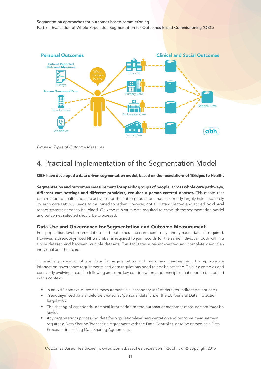

*Figure 4: Types of Outcome Measures*

## 4. Practical Implementation of the Segmentation Model

OBH have developed a data-driven segmentation model, based on the foundations of 'Bridges to Health'.

Segmentation and outcomes measurement for specific groups of people, across whole care pathways, different care settings and different providers, requires a person-centred dataset. This means that data related to health and care activities for the entire population, that is currently largely held separately by each care setting, needs to be joined together. However, not all data collected and stored by clinical record systems needs to be joined. Only the minimum data required to establish the segmentation model and outcomes selected should be processed.

#### Data Use and Governance for Segmentation and Outcome Measurement

For population-level segmentation and outcomes measurement, only anonymous data is required. However, a pseudonymised NHS number is required to join records for the same individual, both within a single dataset, and between multiple datasets. This facilitates a person-centred and complete view of an individual and their care.

To enable processing of any data for segmentation and outcomes measurement, the appropriate information governance requirements and data regulations need to first be satisfied. This is a complex and constantly evolving area. The following are some key considerations and principles that need to be applied in this context:

- In an NHS context, outcomes measurement is a 'secondary use' of data (for indirect patient care).
- Pseudonymised data should be treated as 'personal data' under the EU General Data Protection Regulation.
- The sharing of confidential personal information for the purpose of outcomes measurement must be lawful.
- Any organisations processing data for population-level segmentation and outcome measurement requires a Data Sharing/Processing Agreement with the Data Controller, or to be named as a Data Processor in existing Data Sharing Agreements.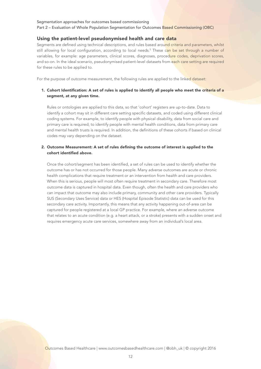Part 2 – Evaluation of Whole Population Segmentation for Outcomes Based Commissioning (OBC)

#### Using the patient-level pseudonymised health and care data

Segments are defined using technical descriptions, and rules based around criteria and parameters, whilst still allowing for local configuration, according to local needs.<sup>5</sup> These c<mark>an be set through a number of</mark> variables, for example: age parameters, clinical scores, diagnoses, procedure codes, deprivation scores, and so-on. In the ideal scenario, pseudonymised patient-level datasets from each care setting are required for these rules to be applied to.

For the purpose of outcome measurement, the following rules are applied to the linked dataset:

#### 1. Cohort Identification: A set of rules is applied to identify all people who meet the criteria of a segment, at any given time.

Rules or ontologies are applied to this data, so that 'cohort' registers are up-to-date. Data to identify a cohort may sit in different care setting specific datasets, and coded using different clinical coding systems. For example, to identify people with physical disability, data from social care and primary care is required; to identify people with mental health conditions, data from primary care and mental health trusts is required. In addition, the definitions of these cohorts if based on clinical codes may vary depending on the dataset.

#### 2. Outcome Measurement: A set of rules defining the outcome of interest is applied to the cohort identified above.

Once the cohort/segment has been identified, a set of rules can be used to identify whether the outcome has or has not occurred for those people. Many adverse outcomes are acute or chronic health complications that require treatment or an intervention from health and care providers. When this is serious, people will most often require treatment in secondary care. Therefore most outcome data is captured in hospital data. Even though, often the health and care providers who can impact that outcome may also include primary, community and other care providers. Typically SUS (Secondary Uses Service) data or HES (Hospital Episode Statistic) data can be used for this secondary care activity. Importantly, this means that any activity happening out-of-area can be captured for people registered at a local GP practice. For example, where an adverse outcome that relates to an acute condition (e.g. a heart attack, or a stroke) presents with a sudden onset and requires emergency acute care services, somewhere away from an individual's local area.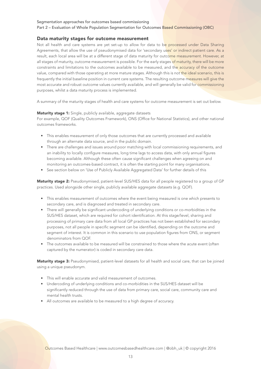Part 2 – Evaluation of Whole Population Segmentation for Outcomes Based Commissioning (OBC)

#### Data maturity stages for outcome measurement

Not all health and care systems are yet set-up to allow for data to be processed under Data Sharing Agreements, that allow the use of pseudonymised data for 'secondary uses' or indirect patient care. As a result, each local area will be at a different stage of data maturity for outcome measurement. However, at all stages of maturity, outcome measurement is possible. For the early stages of maturity, there will be more constraints and limitations to the outcomes available to be measured, and the accuracy of the outcome value, compared with those operating at more mature stages. Although this is not the ideal scenario, this is frequently the initial baseline position in current care systems. The resulting outcome measures will give the most accurate and robust outcome values currently available, and will generally be valid for commissioning purposes, whilst a data maturity process is implemented.

A summary of the maturity stages of health and care systems for outcome measurement is set out below.

#### Maturity stage 1: Single, publicly available, aggregate datasets

For example, QOF (Quality Outcomes Framework), ONS (Office for National Statistics), and other national outcomes frameworks.

- This enables measurement of only those outcomes that are currently processed and available through an alternate data source, and in the public domain.
- There are challenges and issues around poor matching with local commissioning requirements, and an inability to locally configure measures, long time lags to access data, with only annual figures becoming available. Although these often cause significant challenges when agreeing on and monitoring an outcomes-based contract, it is often the starting point for many organisations.
- See section below on 'Use of Publicly Available Aggregated Data' for further details of this

Maturity stage 2: Pseudonymised, patient-level SUS/HES data for all people registered to a group of GP practices. Used alongside other single, publicly available aggregate datasets (e.g. QOF).

- This enables measurement of outcomes where the event being measured is one which presents to secondary care, and is diagnosed and treated in secondary care.
- There will generally be significant undercoding of underlying conditions or co-morbidities in the SUS/HES dataset, which are required for cohort identification. At this stage/level, sharing and processing of primary care data from all local GP practices has not been established for secondary purposes, not all people in specific segment can be identified, depending on the outcome and segment of interest. It is common in this scenario to use population figures from ONS, or segment denominators from QOF.
- The outcomes available to be measured will be constrained to those where the acute event (often captured by the numerator) is coded in secondary care data.

Maturity stage 3: Pseudonymised, patient-level datasets for all health and social care, that can be joined using a unique pseudonym.

- This will enable accurate and valid measurement of outcomes.
- Undercoding of underlying conditions and co-morbidities in the SUS/HES dataset will be significantly reduced through the use of data from primary care, social care, community care and mental health trusts.
- All outcomes are available to be measured to a high degree of accuracy.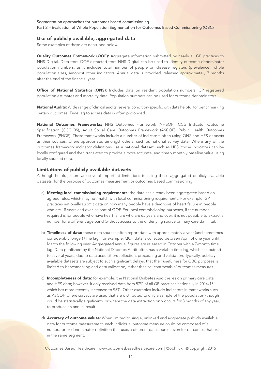#### Use of publicly available, aggregated data

Some examples of these are described below:

Quality Outcomes Framework (QOF): Aggregate information submitted by nearly all GP practices to NHS Digital. Data from QOF extracted from NHS Digital can be used to identify outcome denominator population numbers, as it includes total number of people on disease registers (prevalence), whole population sizes, amongst other indicators. Annual data is provided, released approximately 7 months after the end of the financial year.

Office of National Statistics (ONS): Includes data on resident population numbers, GP registered population estimates and mortality data. Population numbers can be used for outcome denominators.

National Audits: Wide range of clinical audits, several condition-specific with data helpful for benchmarking certain outcomes. Time lag to access data is often prolonged.

National Outcomes Frameworks: NHS Outcomes Framework (NHSOF), CCG Indicator Outcome Specification (CCGIOS), Adult Social Care Outcomes Framework (ASCOF), Public Health Outcomes Framework (PHOF): These frameworks include a number of indicators often using ONS and HES datasets as their sources, where appropriate, amongst others, such as national survey data. Where any of the outcomes framework indicator definitions use a national dataset, such as HES, those indicators can be locally configured and then translated to provide a more accurate, and timely monthly baseline value using locally sourced data.

#### Limitations of publicly available datasets

Although helpful, there are several important limitations to using these aggregated publicly available datasets, for the purpose of outcomes measurement or outcomes based commissioning:

- a) Meeting local commissioning requirements: the data has already been aggregated based on agreed rules, which may not match with local commissioning requirements. For example, GP practices nationally submit data on how many people have a diagnosis of heart failure in people who are 18 years and over, as part of QOF. For local commissioning purposes, if the number required is for people who have heart failure who are 65 years and over, it is not possible to extract a number for a different age band (without access to the underlying source primary care da ta).
- b) Timeliness of data: these data sources often report data with approximately a year (and sometimes considerably longer) time lag. For example, QOF data is collected between April of one year until March the following year. Aggregated annual figures are released in October with a 7-month time lag. Data published by the National Diabetes Audit often has a variable time lag, which can extend to several years, due to data acquisition/collection, processing and validation. Typically, publicly available datasets are subject to such significant delays, that their usefulness for OBC purposes is limited to benchmarking and data validation, rather than as 'contractable' outcomes measures.
- c) Incompleteness of data: for example, the National Diabetes Audit relies on primary care data and HES data; however, it only received data from 57% of all GP practices nationally in 2014/15, which has more recently increased to 95%. Other examples include indicators in frameworks such as ASCOF, where surveys are used that are distributed to only a sample of the population (though could be statistically significant), or where the data extraction only occurs for 3 months of any year, to produce an annual result.
- d) **Accuracy of outcome values:** When limited to single, unlinked and aggregate publicly available data for outcome measurement, each individual outcome measure could be composed of a numerator or denominator definition that uses a different data source, even for outcomes that exist in the same segment.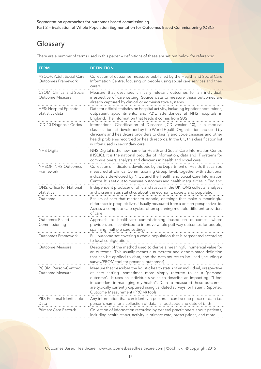## Glossary

There are a number of terms used in this paper – definitions of these are set out below for reference:

| <b>TERM</b>                                           | <b>DEFINITION</b>                                                                                                                                                                                                                                                                                                                                                                                                               |
|-------------------------------------------------------|---------------------------------------------------------------------------------------------------------------------------------------------------------------------------------------------------------------------------------------------------------------------------------------------------------------------------------------------------------------------------------------------------------------------------------|
| <b>ASCOF: Adult Social Care</b><br>Outcomes Framework | Collection of outcomes measures published by the Health and Social Care<br>Information Centre, focusing on people using social care services and their<br>carers                                                                                                                                                                                                                                                                |
| CSOM: Clinical and Social<br>Outcome Measure          | Measure that describes clinically relevant outcomes for an individual,<br>irrespective of care setting. Source data to measure these outcomes are<br>already captured by clinical or administrative systems                                                                                                                                                                                                                     |
| HES: Hospital Episode<br>Statistics data              | Data for official statistics on hospital activity, including inpatient admissions,<br>outpatient appointments, and A&E attendances at NHS hospitals in<br>England. The information that feeds it comes from SUS                                                                                                                                                                                                                 |
| ICD-10 Diagnosis Codes                                | International Classification of Diseases (ICD version 10), is a medical<br>classification list developed by the World Health Organisation and used by<br>clinicians and healthcare providers to classify and code diseases and other<br>health problems recorded on health records. In the UK, this classification list<br>is often used in secondary care                                                                      |
| <b>NHS Digital</b>                                    | NHS Digital is the new name for Health and Social Care Information Centre<br>(HSCIC). It is the national provider of information, data and IT systems for<br>commissioners, analysts and clinicians in health and social care                                                                                                                                                                                                   |
| NHSOF: NHS Outcomes<br>Framework                      | Collection of indicators developed by the Department of Health, that can be<br>measured at Clinical Commissioning Group level, together with additional<br>indicators developed by NICE and the Health and Social Care Information<br>Centre. It is set out to measure outcomes and health inequalities in England                                                                                                              |
| ONS: Office for National<br><b>Statistics</b>         | Independent producer of official statistics in the UK, ONS collects, analyses<br>and disseminates statistics about the economy, society and population                                                                                                                                                                                                                                                                          |
| Outcome                                               | Results of care that matter to people, or things that make a meaningful<br>difference to people's lives. Usually measured from a person-perspective-ie.<br>Across a complete care cycles, often spanning multiple different providers<br>of care                                                                                                                                                                                |
| Outcomes Based<br>Commissioning                       | Approach to healthcare commissioning based on outcomes, where<br>providers are incentivised to improve whole pathway outcomes for people,                                                                                                                                                                                                                                                                                       |
| Outcomes Framework                                    | spanning multiple care settings<br>Full outcome set covering a whole population that is segmented according<br>to local configurations                                                                                                                                                                                                                                                                                          |
| Outcome Measure                                       | Description of the method used to derive a meaningful numerical value for<br>an outcome. This usually means a numerator and denominator definition<br>that can be applied to data, and the data source to be used (including a<br>survey/PROM tool for personal outcomes)                                                                                                                                                       |
| PCOM: Person-Centred<br>Outcome Measure               | Measure that describes the holistic health status of an individual, irrespective<br>of care setting- sometimes more simply referred to as a 'personal<br>outcome'. It uses an individual's voice to describe an impact eg. "I feel<br>in confident in managing my health". Data to measured these outcomes<br>are typically currently captured using validated surveys, or Patient Reported<br>Outcome Measurement (PROM) tools |
| PID: Personal Identifiable<br>Data                    | Any information that can identify a person. It can be one piece of data i.e.<br>person's name, or a collection of data i.e. postcode and date of birth                                                                                                                                                                                                                                                                          |
| Primary Care Records                                  | Collection of information recorded by general practitioners about patients,<br>including health status, activity in primary care, prescriptions, and more                                                                                                                                                                                                                                                                       |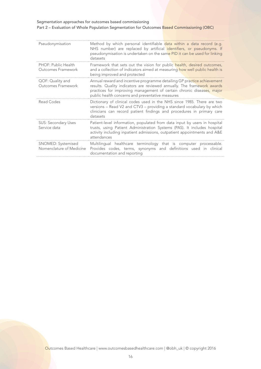| Pseudonymisation                               | Method by which personal identifiable data within a data record (e.g.<br>NHS number) are replaced by artificial identifiers, or pseudonyms. If<br>pseudonymisation is undertaken on the same PID it can be used for linking<br>datasets                                         |
|------------------------------------------------|---------------------------------------------------------------------------------------------------------------------------------------------------------------------------------------------------------------------------------------------------------------------------------|
| PHOF: Public Health<br>Outcomes Framework      | Framework that sets out the vision for public health, desired outcomes,<br>and a collection of indicators aimed at measuring how well public health is<br>being improved and protected                                                                                          |
| QOF: Quality and<br>Outcomes Framework         | Annual reward and incentive programme detailing GP practice achievement<br>results. Quality indicators are reviewed annually. The framework awards<br>practices for improving management of certain chronic diseases, major<br>public health concerns and preventative measures |
| Read Codes                                     | Dictionary of clinical codes used in the NHS since 1985. There are two<br>versions - Read V2 and CTV3 - providing a standard vocabulary by which<br>clinicians can record patient findings and procedures in primary care<br>datasets                                           |
| <b>SUS: Secondary Uses</b><br>Service data     | Patient-level information, populated from data input by users in hospital<br>trusts, using Patient Administration Systems (PAS). It includes hospital<br>activity including inpatient admissions, outpatient appointments and A&E<br>attendances                                |
| SNOMED: Systemised<br>Nomenclature of Medicine | Multilingual healthcare terminology that is computer processable.<br>Provides codes, terms, synonyms and definitions used in clinical<br>documentation and reporting                                                                                                            |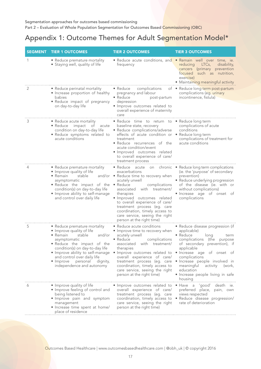## Appendix 1: Outcome Themes for Adult Segmentation Model\*

| <b>SEGMENT</b> | <b>TIER 1 OUTCOMES</b>                                                                                                                                                                                                                                                                                            | <b>TIER 2 OUTCOMES</b>                                                                                                                                                                                                                                                                                                                                                                                                     | <b>TIER 3 OUTCOMES</b>                                                                                                                                                                                                                                                                                                                     |
|----------------|-------------------------------------------------------------------------------------------------------------------------------------------------------------------------------------------------------------------------------------------------------------------------------------------------------------------|----------------------------------------------------------------------------------------------------------------------------------------------------------------------------------------------------------------------------------------------------------------------------------------------------------------------------------------------------------------------------------------------------------------------------|--------------------------------------------------------------------------------------------------------------------------------------------------------------------------------------------------------------------------------------------------------------------------------------------------------------------------------------------|
| 1              | • Reduce premature mortality<br>• Staying well, quality of life                                                                                                                                                                                                                                                   | • Reduce acute conditions, and • Remain well over time, ie.<br>frequency                                                                                                                                                                                                                                                                                                                                                   | reducing<br>$LTCs$ ,<br>disability,<br>cancers (primary prevention<br>focused<br>such as nutrition,<br>exercise)<br>• Maintaining meaningful activity                                                                                                                                                                                      |
| 2              | • Reduce perinatal mortality<br>• Increase proportion of healthy<br>babies<br>• Reduce impact of pregnancy                                                                                                                                                                                                        | • Reduce<br>complications<br>pregnancy and labour<br>• Reduce<br>post-partum<br>depression                                                                                                                                                                                                                                                                                                                                 | of • Reduce long term post-partum<br>complications (eg. urinary<br>incontinence, fistula)                                                                                                                                                                                                                                                  |
|                | on day-to-day life                                                                                                                                                                                                                                                                                                | · Improve outcomes related to<br>overall experience of maternity<br>care                                                                                                                                                                                                                                                                                                                                                   |                                                                                                                                                                                                                                                                                                                                            |
| 3              | • Reduce acute mortality<br>• Reduce impact<br>ot<br>acute<br>condition on day-to-day life<br>· Reduce symptoms related to<br>acute conditions                                                                                                                                                                    | • Reduce time to return to • Reduce long term<br>baseline state, recovery<br>• Reduce complications/adverse<br>effects of acute condition or • Reduce long term<br>treatment<br>• Reduce recurrences of the<br>acute condition/event<br>· Improved outcomes related<br>to overall experience of care/<br>treatment process                                                                                                 | complications of acute<br>conditions<br>complications of treatment for<br>acute conditions                                                                                                                                                                                                                                                 |
| 4              | • Reduce premature mortality<br>• Improve quality of life<br>$\bullet$ Remain<br>stable<br>asymptomatic<br>• Reduce the impact of the<br>condition(s) on day-to-day life<br>• Improve ability to self-manage<br>and control over daily life                                                                       | • Reduce acute on chronic • Reduce long term complications<br>exacerbations<br>and/or $\bullet$ Reduce time to recovery when<br>acutely unwell<br>• Reduce<br>complications<br>with treatment/<br>associated<br>therapies<br>· Improved outcomes related<br>to overall experience of care/<br>treatment process (eg. care<br>coordination, timely access to<br>care service, seeing the right<br>person at the right time) | (ie. the 'purpose' of secondary<br>prevention)<br>• Reduce underlying progression<br>of the disease (ie. with or<br>without complications)<br>· Increase age of onset of<br>complications                                                                                                                                                  |
| 5              | • Reduce premature mortality<br>• Improve quality of life<br>$\bullet$ Remain<br>stable<br>and/or<br>asymptomatic<br>· Reduce the impact of the<br>condition(s) on day-to-day life<br>• Improve ability to self-manage<br>and control over daily life<br>• Improve personal dignity,<br>independence and autonomy | • Reduce acute conditions<br>• Improve time to recovery when<br>acutely unwell<br>complications<br>• Reduce<br>associated with treatment/<br>therapies<br>· Improve outcomes related to<br>overall experience of care/<br>treatment process (eg. care<br>coordination, timely access to<br>care service, seeing the right<br>person at the right time)                                                                     | • Reduce disease progression (if<br>applicable)<br>• Reduce<br>long<br>term<br>complications (the<br>purpose<br>of secondary prevention), if<br>applicable<br>• Increase age of onset of<br>complications<br>· Increase people involved in<br>meaningful<br>activity<br>(work,<br>education<br>• Increase people living in safe<br>housing |
| 6              | • Improve quality of life<br>• Improve feeling of control and<br>being listened to<br>· Improve pain and symptom<br>management<br>• Increase time spent at home/<br>place of residence                                                                                                                            | • Improve outcomes related to<br>overall experience of care/<br>treatment process (eg. care<br>coordination, timely access to<br>care service, seeing the right<br>person at the right time)                                                                                                                                                                                                                               | · Have a 'good' death ie.<br>preferred place, pain, own<br>views respected<br>· Reduce disease progression/<br>rate of deterioration                                                                                                                                                                                                       |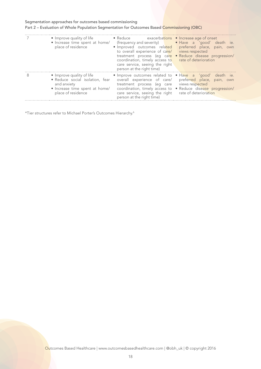#### Part 2 – Evaluation of Whole Population Segmentation for Outcomes Based Commissioning (OBC)

|   | • Improve quality of life<br>· Increase time spent at home/<br>place of residence                                                   | • Reduce exacerbations • Increase age of onset<br>· Improved outcomes related<br>to overall experience of care/<br>treatment process (eg care<br>coordination, timely access to rate of deterioration<br>care service, seeing the right<br>person at the right time) | (frequency and severity) vertical vertical vertical vertical vertical vertical vertical vertical vertical vertical vertical vertical vertical vertical vertical vertical vertical vertical vertical vertical vertical vertical<br>preferred place, pain, own<br>views respected<br>• Reduce disease progression/ |
|---|-------------------------------------------------------------------------------------------------------------------------------------|----------------------------------------------------------------------------------------------------------------------------------------------------------------------------------------------------------------------------------------------------------------------|------------------------------------------------------------------------------------------------------------------------------------------------------------------------------------------------------------------------------------------------------------------------------------------------------------------|
| 8 | • Improve quality of life<br>• Reduce social isolation, fear<br>and anxiety<br>• Increase time spent at home/<br>place of residence | • Improve outcomes related to • Have a 'good' death ie.<br>overall experience of care/<br>treatment process (eq care<br>care service, seeing the right rate of deterioration<br>person at the right time)                                                            | preferred place, pain, own<br>views respected<br>coordination, timely access to • Reduce disease progression/                                                                                                                                                                                                    |

\*Tier structures refer to Michael Porter's Outcomes Hierarchy.6